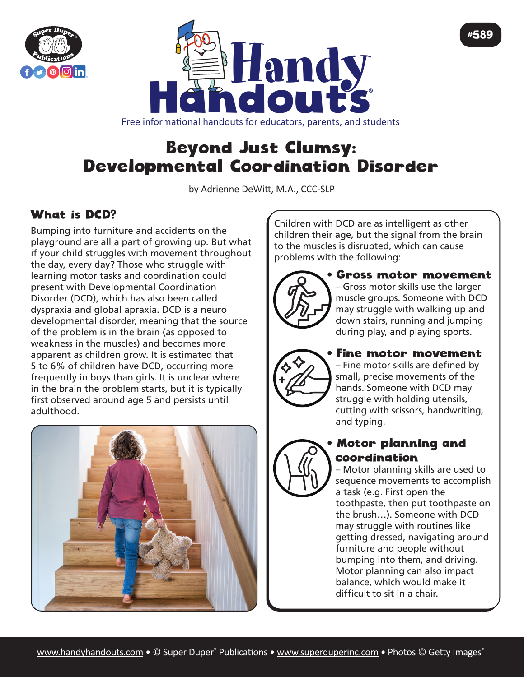



Free informational handouts for educators, parents, and students

# Beyond Just Clumsy: Developmental Coordination Disorder

by Adrienne DeWitt, M.A., CCC-SLP

## What is DCD?

Bumping into furniture and accidents on the playground are all a part of growing up. But what if your child struggles with movement throughout the day, every day? Those who struggle with learning motor tasks and coordination could present with Developmental Coordination Disorder (DCD), which has also been called dyspraxia and global apraxia. DCD is a neuro developmental disorder, meaning that the source of the problem is in the brain (as opposed to weakness in the muscles) and becomes more apparent as children grow. It is estimated that 5 to 6% of children have DCD, occurring more frequently in boys than girls. It is unclear where in the brain the problem starts, but it is typically first observed around age 5 and persists until adulthood.



Children with DCD are as intelligent as other children their age, but the signal from the brain to the muscles is disrupted, which can cause problems with the following:



• Gross motor movement – Gross motor skills use the larger muscle groups. Someone with DCD may struggle with walking up and down stairs, running and jumping during play, and playing sports.

#589



#### • Fine motor movement

– Fine motor skills are defined by small, precise movements of the hands. Someone with DCD may struggle with holding utensils, cutting with scissors, handwriting, and typing.

### • Motor planning and coordination

– Motor planning skills are used to sequence movements to accomplish a task (e.g. First open the toothpaste, then put toothpaste on the brush…). Someone with DCD may struggle with routines like getting dressed, navigating around furniture and people without bumping into them, and driving. Motor planning can also impact balance, which would make it difficult to sit in a chair.